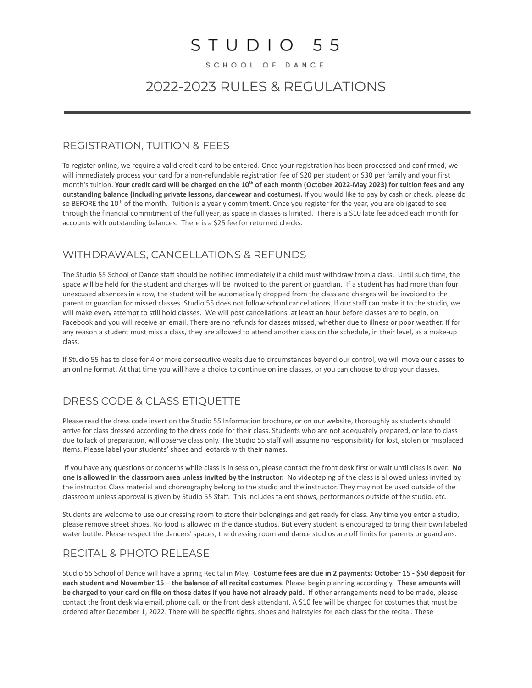# $STUDIO 55$

SCHOOL OF DANCE

# 2022-2023 RULES & REGULATIONS

#### REGISTRATION, TUITION & FEES

To register online, we require a valid credit card to be entered. Once your registration has been processed and confirmed, we will immediately process your card for a non-refundable registration fee of \$20 per student or \$30 per family and your first month's tuition. **Your credit card will be charged on the 10th of each month (October 2022-May 2023) for tuition fees and any outstanding balance (including private lessons, dancewear and costumes).** If you would like to pay by cash or check, please do so BEFORE the  $10^{th}$  of the month. Tuition is a yearly commitment. Once you register for the year, you are obligated to see through the financial commitment of the full year, as space in classes is limited. There is a \$10 late fee added each month for accounts with outstanding balances. There is a \$25 fee for returned checks.

### WITHDRAWALS, CANCELLATIONS & REFUNDS

The Studio 55 School of Dance staff should be notified immediately if a child must withdraw from a class. Until such time, the space will be held for the student and charges will be invoiced to the parent or guardian. If a student has had more than four unexcused absences in a row, the student will be automatically dropped from the class and charges will be invoiced to the parent or guardian for missed classes. Studio 55 does not follow school cancellations. If our staff can make it to the studio, we will make every attempt to still hold classes. We will post cancellations, at least an hour before classes are to begin, on Facebook and you will receive an email. There are no refunds for classes missed, whether due to illness or poor weather. If for any reason a student must miss a class, they are allowed to attend another class on the schedule, in their level, as a make-up class.

If Studio 55 has to close for 4 or more consecutive weeks due to circumstances beyond our control, we will move our classes to an online format. At that time you will have a choice to continue online classes, or you can choose to drop your classes.

## DRESS CODE & CLASS ETIQUETTE

Please read the dress code insert on the Studio 55 Information brochure, or on our website, thoroughly as students should arrive for class dressed according to the dress code for their class. Students who are not adequately prepared, or late to class due to lack of preparation, will observe class only. The Studio 55 staff will assume no responsibility for lost, stolen or misplaced items. Please label your students' shoes and leotards with their names.

If you have any questions or concerns while class is in session, please contact the front desk first or wait until class is over. **No one is allowed in the classroom area unless invited by the instructor.** No videotaping of the class is allowed unless invited by the instructor. Class material and choreography belong to the studio and the instructor. They may not be used outside of the classroom unless approval is given by Studio 55 Staff. This includes talent shows, performances outside of the studio, etc.

Students are welcome to use our dressing room to store their belongings and get ready for class. Any time you enter a studio, please remove street shoes. No food is allowed in the dance studios. But every student is encouraged to bring their own labeled water bottle. Please respect the dancers' spaces, the dressing room and dance studios are off limits for parents or guardians.

### RECITAL & PHOTO RELEASE

Studio 55 School of Dance will have a Spring Recital in May. **Costume fees are due in 2 payments: October 15 - \$50 deposit for each student and November 15 – the balance of all recital costumes.** Please begin planning accordingly. **These amounts will be charged to your card on file on those dates if you have not already paid.** If other arrangements need to be made, please contact the front desk via email, phone call, or the front desk attendant. A \$10 fee will be charged for costumes that must be ordered after December 1, 2022. There will be specific tights, shoes and hairstyles for each class for the recital. These